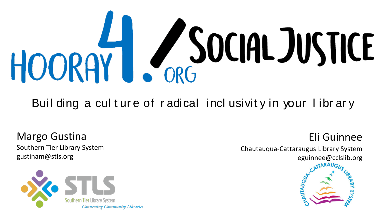

Buil ding a culture of radical inclusivity in your library

Margo Gustina Southern Tier Library System gustinam@stls.org



Chautauqua-Cattaraugus Library System eguinnee@cclslib.org



Eli Guinnee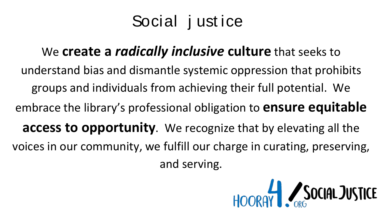### Social j ust ice

#### We **create a** *radically inclusive* **culture** that seeks to

understand bias and dismantle systemic oppression that prohibits groups and individuals from achieving their full potential. We embrace the library's professional obligation to **ensure equitable access to opportunity**. We recognize that by elevating all the voices in our community, we fulfill our charge in curating, preserving, and serving.

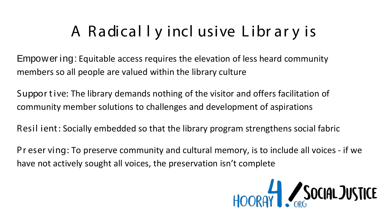### A Radically inclusive Library is

**Empower ing: Equitable access requires the elevation of less heard community** members so all people are valued within the library culture

Suppor tive: The library demands nothing of the visitor and offers facilitation of community member solutions to challenges and development of aspirations

Resil ient: Socially embedded so that the library program strengthens social fabric

Pr eser ving: To preserve community and cultural memory, is to include all voices - if we have not actively sought all voices, the preservation isn't complete

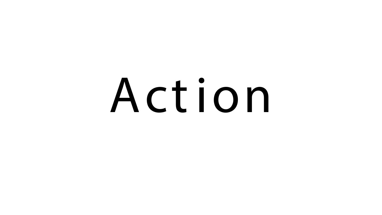# Action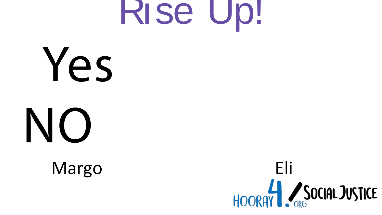

Yes



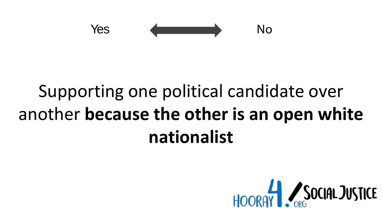

### Supporting one political candidate over another **because the other is an open white nationalist**

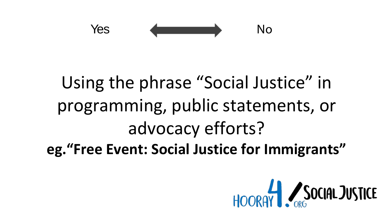

### Using the phrase "Social Justice" in programming, public statements, or advocacy efforts? **eg."Free Event: Social Justice for Immigrants"**

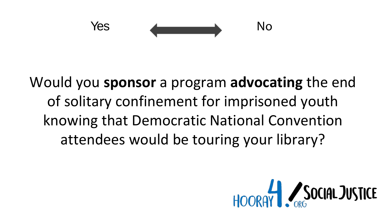Yes Andrew No

### Would you **sponsor** a program **advocating** the end of solitary confinement for imprisoned youth knowing that Democratic National Convention attendees would be touring your library?

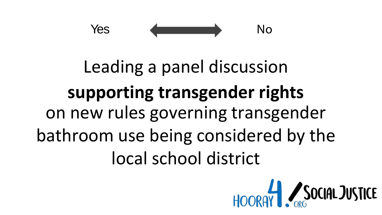

### Leading a panel discussion supporting transgender rights on new rules governing transgender bathroom use being considered by the local school district

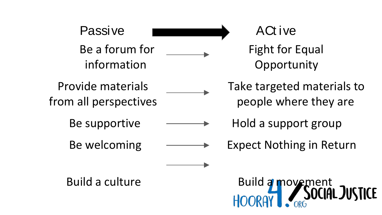Passive **Exercise** ACt ive Be a forum for Fight for Equal information Opportunity

Provide materials Take targeted materials to

from all perspectives exactled be people where they are

Be supportive  $\longrightarrow$  Hold a support group

Be welcoming  $\longrightarrow$  Expect Nothing in Return

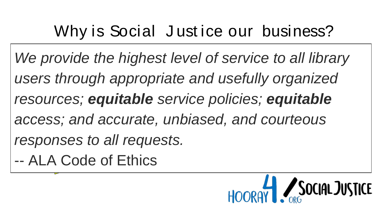### Why is Social Justice our business?

access; and accurate, unbiased, and courteous We provide the highest level of service to all library *users through appropriate and usefully organized resources; equitable service policies; equitable responses to all requests.*

-- ALA Code of Ethics

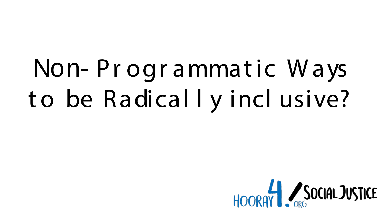# Non-Programmatic Ways to be Radical I y incl usive?

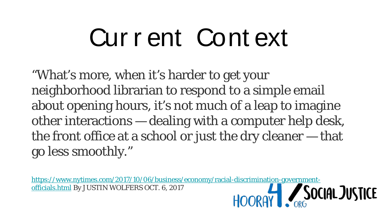# Cur r ent Cont ext

"What's more, when it's harder to get your neighborhood librarian to respond to a simple email about opening hours, it's not much of a leap to imagine other interactions — dealing with a computer help desk, the front office at a school or just the dry cleaner — that go less smoothly."

https://www.nytimes.com/2017/10/06/business/economy/racial-discrimination-government-<br>officials.html By JUSTIN WOLFERS OCT. 6, 2017<br>HOORQY officials.html By JUSTIN WOLFERS OCT. 6, 2017

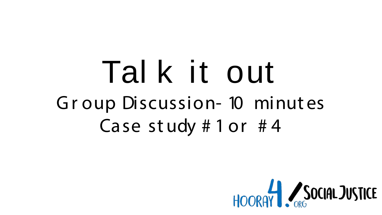### Tal k it out Group Discussion- 10 minutes Case study #1 or  $#4$

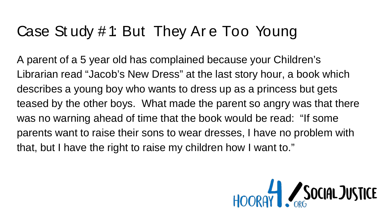### Case St udy # 1: But They Ar e Too Young

A parent of a 5 year old has complained because your Children's Librarian read "Jacob's New Dress" at the last story hour, a book which describes a young boy who wants to dress up as a princess but gets teased by the other boys. What made the parent so angry was that there was no warning ahead of time that the book would be read: "If some parents want to raise their sons to wear dresses, I have no problem with that, but I have the right to raise my children how I want to."

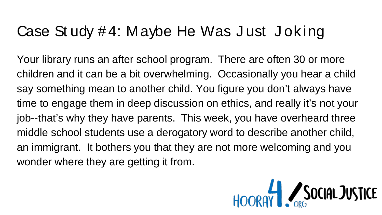#### Case St udy #4: Maybe He Was Just Joking

Your library runs an after school program. There are often 30 or more children and it can be a bit overwhelming. Occasionally you hear a child say something mean to another child. You figure you don't always have time to engage them in deep discussion on ethics, and really it's not your job--that's why they have parents. This week, you have overheard three middle school students use a derogatory word to describe another child, an immigrant. It bothers you that they are not more welcoming and you wonder where they are getting it from.

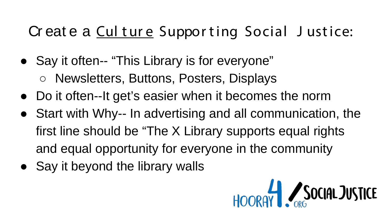### Cr eat e a Culture Supporting Social Justice:

- Say it often-- "This Library is for everyone"
	- Newsletters, Buttons, Posters, Displays
- Do it often--It get's easier when it becomes the norm
- Start with Why-- In advertising and all communication, the first line should be "The X Library supports equal rights and equal opportunity for everyone in the community
- Say it beyond the library walls

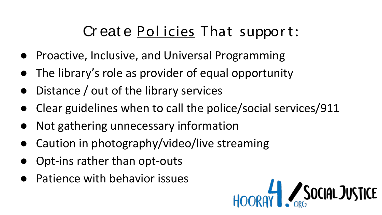#### Cr eat e Policies That support:

- Proactive, Inclusive, and Universal Programming
- The library's role as provider of equal opportunity
- Distance  $\ell$  out of the library services
- Clear guidelines when to call the police/social services/911
- Not gathering unnecessary information
- Caution in photography/video/live streaming
- Opt-ins rather than opt-outs
- Patience with behavior issues

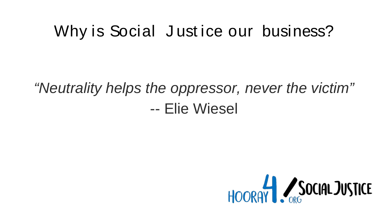#### Why is Social Justice our business?

### *"Neutrality helps the oppressor, never the victim"* -- Elie Wiesel